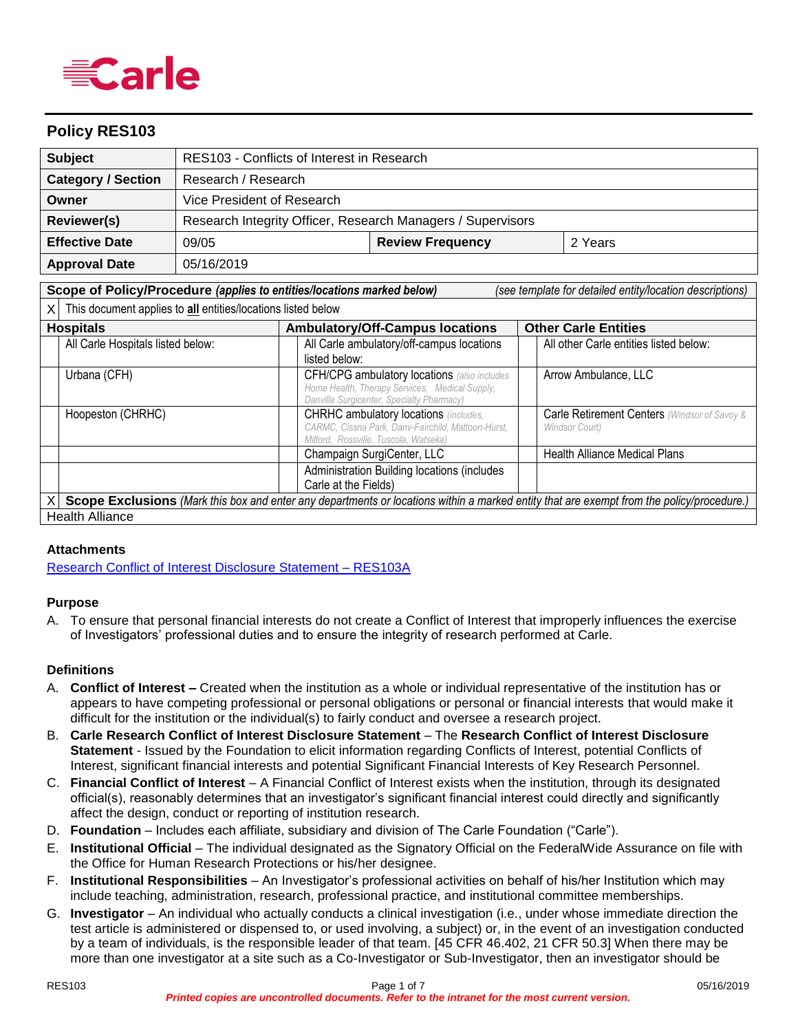

## **Policy RES103**

| <b>Subject</b>                                                                            | RES103 - Conflicts of Interest in Research                  |                                                                                                                                             |  |  |                                                                                                                                           |
|-------------------------------------------------------------------------------------------|-------------------------------------------------------------|---------------------------------------------------------------------------------------------------------------------------------------------|--|--|-------------------------------------------------------------------------------------------------------------------------------------------|
| <b>Category / Section</b>                                                                 | Research / Research                                         |                                                                                                                                             |  |  |                                                                                                                                           |
| Owner                                                                                     | Vice President of Research                                  |                                                                                                                                             |  |  |                                                                                                                                           |
| <b>Reviewer(s)</b>                                                                        | Research Integrity Officer, Research Managers / Supervisors |                                                                                                                                             |  |  |                                                                                                                                           |
| <b>Effective Date</b><br>09/05                                                            |                                                             | <b>Review Frequency</b>                                                                                                                     |  |  | 2 Years                                                                                                                                   |
| <b>Approval Date</b>                                                                      | 05/16/2019                                                  |                                                                                                                                             |  |  |                                                                                                                                           |
| Scope of Policy/Procedure (applies to entities/locations marked below)                    |                                                             |                                                                                                                                             |  |  | (see template for detailed entity/location descriptions)                                                                                  |
| This document applies to all entities/locations listed below<br>ΧI                        |                                                             |                                                                                                                                             |  |  |                                                                                                                                           |
| <b>Other Carle Entities</b><br><b>Ambulatory/Off-Campus locations</b><br><b>Hospitals</b> |                                                             |                                                                                                                                             |  |  |                                                                                                                                           |
| All Carle Hospitals listed below:                                                         |                                                             | All Carle ambulatory/off-campus locations<br>listed below:                                                                                  |  |  | All other Carle entities listed below:                                                                                                    |
| Urbana (CFH)                                                                              |                                                             | CFH/CPG ambulatory locations (also includes<br>Home Health, Therapy Services, Medical Supply,<br>Danville Surgicenter, Specialty Pharmacy)  |  |  | Arrow Ambulance, LLC                                                                                                                      |
| Hoopeston (CHRHC)                                                                         |                                                             | <b>CHRHC ambulatory locations</b> (includes,<br>CARMC, Cissna Park, Danv-Fairchild, Mattoon-Hurst,<br>Milford. Rossville. Tuscola. Watseka. |  |  | Carle Retirement Centers (Windsor of Savoy &<br>Windsor Court)                                                                            |
|                                                                                           |                                                             | Champaign SurgiCenter, LLC                                                                                                                  |  |  | <b>Health Alliance Medical Plans</b>                                                                                                      |
| Administration Building locations (includes<br>Carle at the Fields)                       |                                                             |                                                                                                                                             |  |  |                                                                                                                                           |
|                                                                                           |                                                             |                                                                                                                                             |  |  | Scope Exclusions (Mark this box and enter any departments or locations within a marked entity that are exempt from the policy/procedure.) |
| <b>Health Alliance</b>                                                                    |                                                             |                                                                                                                                             |  |  |                                                                                                                                           |

#### **Attachments**

[Research Conflict of Interest Disclosure Statement –](#page-4-0) RES103A

#### **Purpose**

A. To ensure that personal financial interests do not create a Conflict of Interest that improperly influences the exercise of Investigators' professional duties and to ensure the integrity of research performed at Carle.

#### **Definitions**

- A. **Conflict of Interest** *–* Created when the institution as a whole or individual representative of the institution has or appears to have competing professional or personal obligations or personal or financial interests that would make it difficult for the institution or the individual(s) to fairly conduct and oversee a research project.
- B. **Carle Research Conflict of Interest Disclosure Statement**  The **Research Conflict of Interest Disclosure Statement** - Issued by the Foundation to elicit information regarding Conflicts of Interest, potential Conflicts of Interest, significant financial interests and potential Significant Financial Interests of Key Research Personnel.
- C. **Financial Conflict of Interest** A Financial Conflict of Interest exists when the institution, through its designated official(s), reasonably determines that an investigator's significant financial interest could directly and significantly affect the design, conduct or reporting of institution research.
- D. **Foundation** Includes each affiliate, subsidiary and division of The Carle Foundation ("Carle").
- E. **Institutional Official** The individual designated as the Signatory Official on the FederalWide Assurance on file with the Office for Human Research Protections or his/her designee.
- F. **Institutional Responsibilities** An Investigator's professional activities on behalf of his/her Institution which may include teaching, administration, research, professional practice, and institutional committee memberships.
- G. **Investigator** An individual who actually conducts a clinical investigation (i.e., under whose immediate direction the test article is administered or dispensed to, or used involving, a subject) or, in the event of an investigation conducted by a team of individuals, is the responsible leader of that team. [45 CFR 46.402, 21 CFR 50.3] When there may be more than one investigator at a site such as a Co-Investigator or Sub-Investigator, then an investigator should be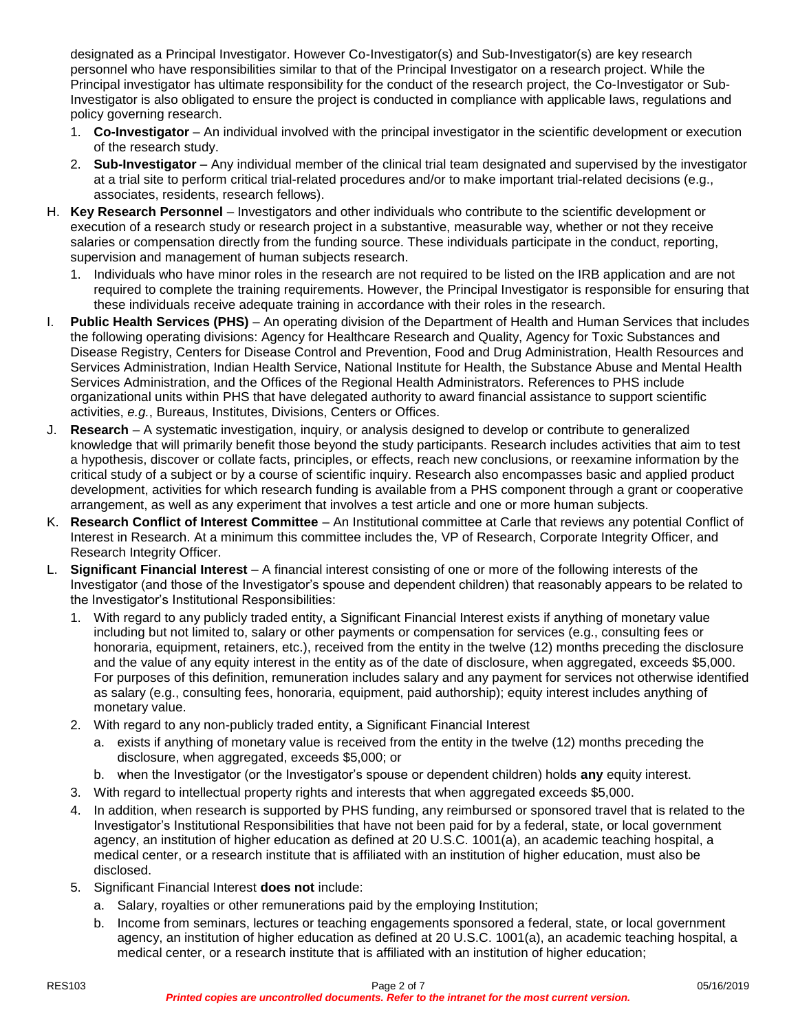designated as a Principal Investigator. However Co-Investigator(s) and Sub-Investigator(s) are key research personnel who have responsibilities similar to that of the Principal Investigator on a research project. While the Principal investigator has ultimate responsibility for the conduct of the research project, the Co-Investigator or Sub-Investigator is also obligated to ensure the project is conducted in compliance with applicable laws, regulations and policy governing research.

- 1. **Co-Investigator** An individual involved with the principal investigator in the scientific development or execution of the research study.
- 2. **Sub-Investigator** Any individual member of the clinical trial team designated and supervised by the investigator at a trial site to perform critical trial-related procedures and/or to make important trial-related decisions (e.g., associates, residents, research fellows).
- H. **Key Research Personnel** Investigators and other individuals who contribute to the scientific development or execution of a research study or research project in a substantive, measurable way, whether or not they receive salaries or compensation directly from the funding source. These individuals participate in the conduct, reporting, supervision and management of human subjects research.
	- 1. Individuals who have minor roles in the research are not required to be listed on the IRB application and are not required to complete the training requirements. However, the Principal Investigator is responsible for ensuring that these individuals receive adequate training in accordance with their roles in the research.
- I. **Public Health Services (PHS)** An operating division of the Department of Health and Human Services that includes the following operating divisions: Agency for Healthcare Research and Quality, Agency for Toxic Substances and Disease Registry, Centers for Disease Control and Prevention, Food and Drug Administration, Health Resources and Services Administration, Indian Health Service, National Institute for Health, the Substance Abuse and Mental Health Services Administration, and the Offices of the Regional Health Administrators. References to PHS include organizational units within PHS that have delegated authority to award financial assistance to support scientific activities, *e.g.*, Bureaus, Institutes, Divisions, Centers or Offices.
- J. **Research** A systematic investigation, inquiry, or analysis designed to develop or contribute to generalized knowledge that will primarily benefit those beyond the study participants. Research includes activities that aim to test a hypothesis, discover or collate facts, principles, or effects, reach new conclusions, or reexamine information by the critical study of a subject or by a course of scientific inquiry. Research also encompasses basic and applied product development, activities for which research funding is available from a PHS component through a grant or cooperative arrangement, as well as any experiment that involves a test article and one or more human subjects.
- K. **Research Conflict of Interest Committee** An Institutional committee at Carle that reviews any potential Conflict of Interest in Research. At a minimum this committee includes the, VP of Research, Corporate Integrity Officer, and Research Integrity Officer.
- L. **Significant Financial Interest** A financial interest consisting of one or more of the following interests of the Investigator (and those of the Investigator's spouse and dependent children) that reasonably appears to be related to the Investigator's Institutional Responsibilities:
	- 1. With regard to any publicly traded entity, a Significant Financial Interest exists if anything of monetary value including but not limited to, salary or other payments or compensation for services (e.g., consulting fees or honoraria, equipment, retainers, etc.), received from the entity in the twelve (12) months preceding the disclosure and the value of any equity interest in the entity as of the date of disclosure, when aggregated, exceeds \$5,000. For purposes of this definition, remuneration includes salary and any payment for services not otherwise identified as salary (e.g., consulting fees, honoraria, equipment, paid authorship); equity interest includes anything of monetary value.
	- 2. With regard to any non-publicly traded entity, a Significant Financial Interest
		- a. exists if anything of monetary value is received from the entity in the twelve (12) months preceding the disclosure, when aggregated, exceeds \$5,000; or
		- b. when the Investigator (or the Investigator's spouse or dependent children) holds **any** equity interest.
	- 3. With regard to intellectual property rights and interests that when aggregated exceeds \$5,000.
	- 4. In addition, when research is supported by PHS funding, any reimbursed or sponsored travel that is related to the Investigator's Institutional Responsibilities that have not been paid for by a federal, state, or local government agency, an institution of higher education as defined at 20 U.S.C. 1001(a), an academic teaching hospital, a medical center, or a research institute that is affiliated with an institution of higher education, must also be disclosed.
	- 5. Significant Financial Interest **does not** include:
		- a. Salary, royalties or other remunerations paid by the employing Institution;
		- b. Income from seminars, lectures or teaching engagements sponsored a federal, state, or local government agency, an institution of higher education as defined at 20 U.S.C. 1001(a), an academic teaching hospital, a medical center, or a research institute that is affiliated with an institution of higher education;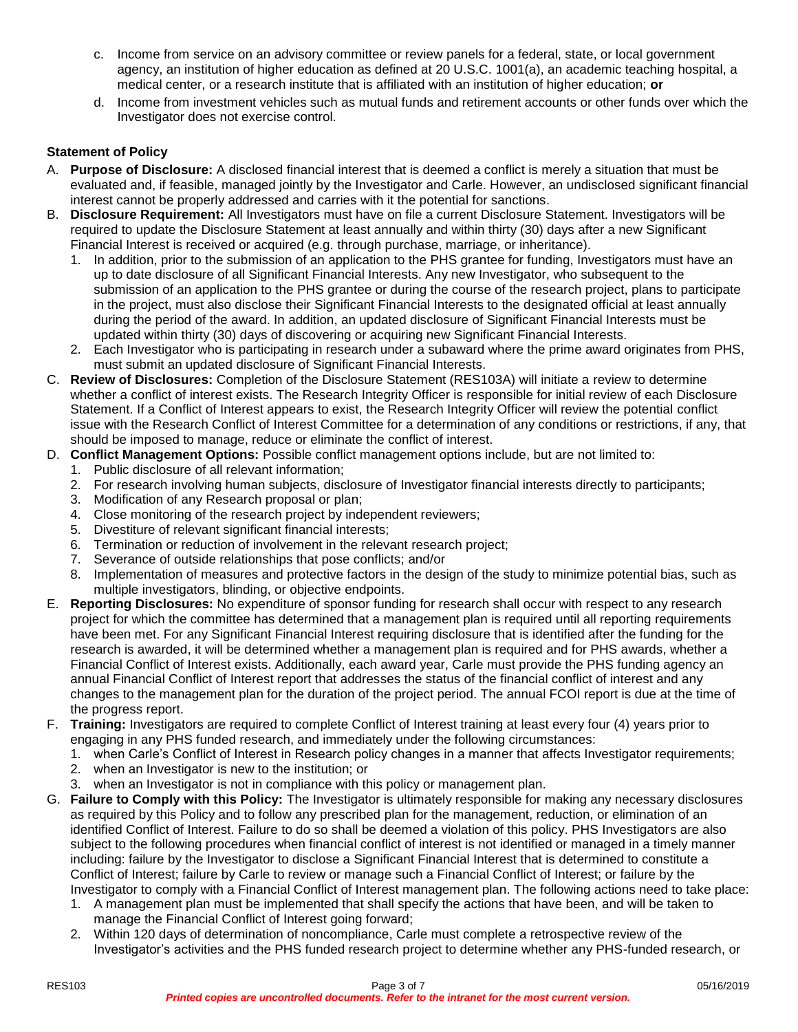- c. Income from service on an advisory committee or review panels for a federal, state, or local government agency, an institution of higher education as defined at 20 U.S.C. 1001(a), an academic teaching hospital, a medical center, or a research institute that is affiliated with an institution of higher education; **or**
- d. Income from investment vehicles such as mutual funds and retirement accounts or other funds over which the Investigator does not exercise control.

## **Statement of Policy**

- A. **Purpose of Disclosure:** A disclosed financial interest that is deemed a conflict is merely a situation that must be evaluated and, if feasible, managed jointly by the Investigator and Carle. However, an undisclosed significant financial interest cannot be properly addressed and carries with it the potential for sanctions.
- B. **Disclosure Requirement:** All Investigators must have on file a current Disclosure Statement. Investigators will be required to update the Disclosure Statement at least annually and within thirty (30) days after a new Significant Financial Interest is received or acquired (e.g. through purchase, marriage, or inheritance).
	- 1. In addition, prior to the submission of an application to the PHS grantee for funding, Investigators must have an up to date disclosure of all Significant Financial Interests. Any new Investigator, who subsequent to the submission of an application to the PHS grantee or during the course of the research project, plans to participate in the project, must also disclose their Significant Financial Interests to the designated official at least annually during the period of the award. In addition, an updated disclosure of Significant Financial Interests must be updated within thirty (30) days of discovering or acquiring new Significant Financial Interests.
	- 2. Each Investigator who is participating in research under a subaward where the prime award originates from PHS, must submit an updated disclosure of Significant Financial Interests.
- C. **Review of Disclosures:** Completion of the Disclosure Statement (RES103A) will initiate a review to determine whether a conflict of interest exists. The Research Integrity Officer is responsible for initial review of each Disclosure Statement. If a Conflict of Interest appears to exist, the Research Integrity Officer will review the potential conflict issue with the Research Conflict of Interest Committee for a determination of any conditions or restrictions, if any, that should be imposed to manage, reduce or eliminate the conflict of interest.
- D. **Conflict Management Options:** Possible conflict management options include, but are not limited to:
	- 1. Public disclosure of all relevant information;
	- 2. For research involving human subjects, disclosure of Investigator financial interests directly to participants;
	- 3. Modification of any Research proposal or plan;
	- 4. Close monitoring of the research project by independent reviewers;
	- 5. Divestiture of relevant significant financial interests;
	- 6. Termination or reduction of involvement in the relevant research project;
	- 7. Severance of outside relationships that pose conflicts; and/or
	- 8. Implementation of measures and protective factors in the design of the study to minimize potential bias, such as multiple investigators, blinding, or objective endpoints.
- E. **Reporting Disclosures:** No expenditure of sponsor funding for research shall occur with respect to any research project for which the committee has determined that a management plan is required until all reporting requirements have been met. For any Significant Financial Interest requiring disclosure that is identified after the funding for the research is awarded, it will be determined whether a management plan is required and for PHS awards, whether a Financial Conflict of Interest exists. Additionally, each award year, Carle must provide the PHS funding agency an annual Financial Conflict of Interest report that addresses the status of the financial conflict of interest and any changes to the management plan for the duration of the project period. The annual FCOI report is due at the time of the progress report.
- F. **Training:** Investigators are required to complete Conflict of Interest training at least every four (4) years prior to engaging in any PHS funded research, and immediately under the following circumstances:
	- 1. when Carle's Conflict of Interest in Research policy changes in a manner that affects Investigator requirements;
	- 2. when an Investigator is new to the institution; or
	- 3. when an Investigator is not in compliance with this policy or management plan.
- G. **Failure to Comply with this Policy:** The Investigator is ultimately responsible for making any necessary disclosures as required by this Policy and to follow any prescribed plan for the management, reduction, or elimination of an identified Conflict of Interest. Failure to do so shall be deemed a violation of this policy. PHS Investigators are also subject to the following procedures when financial conflict of interest is not identified or managed in a timely manner including: failure by the Investigator to disclose a Significant Financial Interest that is determined to constitute a Conflict of Interest; failure by Carle to review or manage such a Financial Conflict of Interest; or failure by the Investigator to comply with a Financial Conflict of Interest management plan. The following actions need to take place:
	- 1. A management plan must be implemented that shall specify the actions that have been, and will be taken to manage the Financial Conflict of Interest going forward;
	- 2. Within 120 days of determination of noncompliance, Carle must complete a retrospective review of the Investigator's activities and the PHS funded research project to determine whether any PHS-funded research, or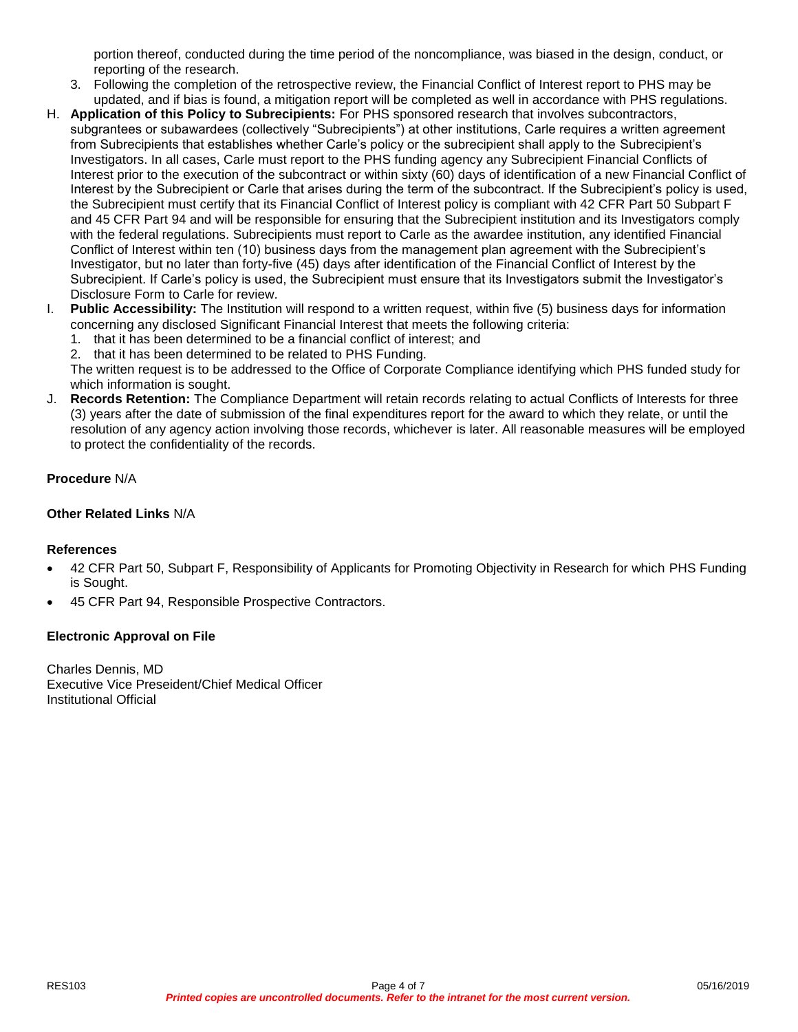portion thereof, conducted during the time period of the noncompliance, was biased in the design, conduct, or reporting of the research.

- 3. Following the completion of the retrospective review, the Financial Conflict of Interest report to PHS may be updated, and if bias is found, a mitigation report will be completed as well in accordance with PHS regulations.
- H. **Application of this Policy to Subrecipients:** For PHS sponsored research that involves subcontractors, subgrantees or subawardees (collectively "Subrecipients") at other institutions, Carle requires a written agreement from Subrecipients that establishes whether Carle's policy or the subrecipient shall apply to the Subrecipient's Investigators. In all cases, Carle must report to the PHS funding agency any Subrecipient Financial Conflicts of Interest prior to the execution of the subcontract or within sixty (60) days of identification of a new Financial Conflict of Interest by the Subrecipient or Carle that arises during the term of the subcontract. If the Subrecipient's policy is used, the Subrecipient must certify that its Financial Conflict of Interest policy is compliant with 42 CFR Part 50 Subpart F and 45 CFR Part 94 and will be responsible for ensuring that the Subrecipient institution and its Investigators comply with the federal regulations. Subrecipients must report to Carle as the awardee institution, any identified Financial Conflict of Interest within ten (10) business days from the management plan agreement with the Subrecipient's Investigator, but no later than forty-five (45) days after identification of the Financial Conflict of Interest by the Subrecipient. If Carle's policy is used, the Subrecipient must ensure that its Investigators submit the Investigator's Disclosure Form to Carle for review.
- I. **Public Accessibility:** The Institution will respond to a written request, within five (5) business days for information concerning any disclosed Significant Financial Interest that meets the following criteria:
	- 1. that it has been determined to be a financial conflict of interest; and
	- 2. that it has been determined to be related to PHS Funding.

The written request is to be addressed to the Office of Corporate Compliance identifying which PHS funded study for which information is sought.

J. **Records Retention:** The Compliance Department will retain records relating to actual Conflicts of Interests for three (3) years after the date of submission of the final expenditures report for the award to which they relate, or until the resolution of any agency action involving those records, whichever is later. All reasonable measures will be employed to protect the confidentiality of the records.

## **Procedure** N/A

## **Other Related Links** N/A

## **References**

- 42 CFR Part 50, Subpart F, Responsibility of Applicants for Promoting Objectivity in Research for which PHS Funding is Sought.
- 45 CFR Part 94, Responsible Prospective Contractors.

## **Electronic Approval on File**

Charles Dennis, MD Executive Vice Preseident/Chief Medical Officer Institutional Official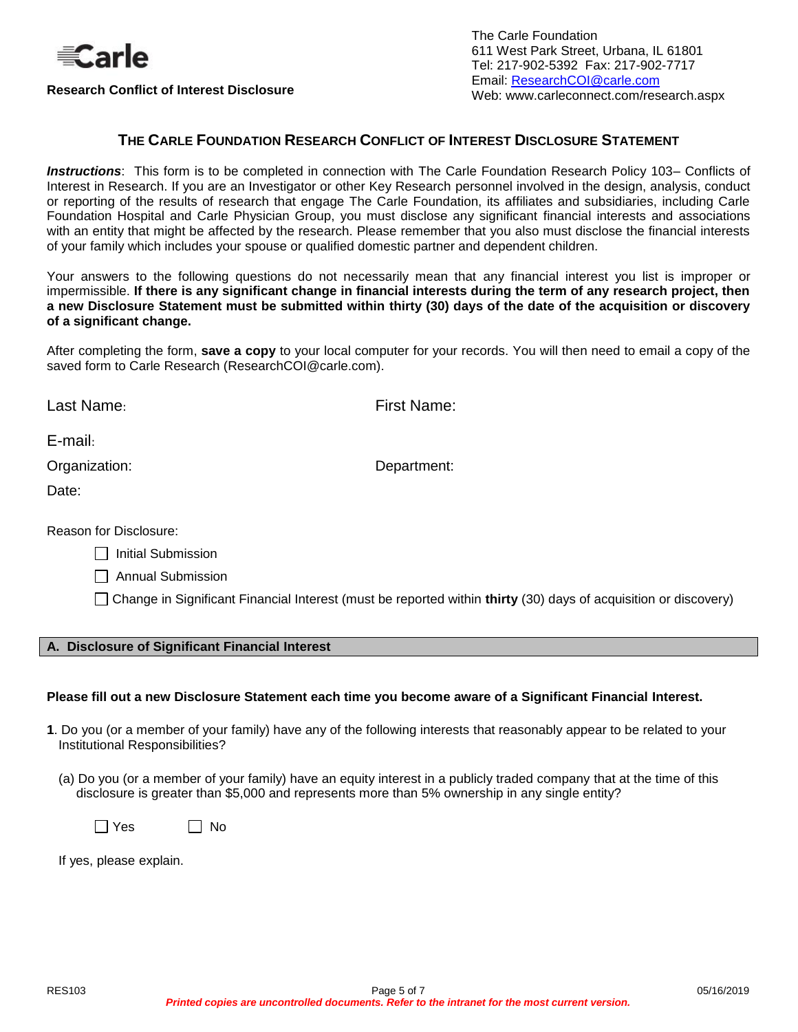

**Research Conflict of Interest Disclosure**

The Carle Foundation 611 West Park Street, Urbana, IL 61801 Tel: 217-902-5392 Fax: 217-902-7717 Email: [ResearchCOI@carle.com](mailto:ResearchCOI@carle.com) Web: www.carleconnect.com/research.aspx

## **THE CARLE FOUNDATION RESEARCH CONFLICT OF INTEREST DISCLOSURE STATEMENT**

<span id="page-4-0"></span>*Instructions*: This form is to be completed in connection with The Carle Foundation Research Policy 103– Conflicts of Interest in Research. If you are an Investigator or other Key Research personnel involved in the design, analysis, conduct or reporting of the results of research that engage The Carle Foundation, its affiliates and subsidiaries, including Carle Foundation Hospital and Carle Physician Group, you must disclose any significant financial interests and associations with an entity that might be affected by the research. Please remember that you also must disclose the financial interests of your family which includes your spouse or qualified domestic partner and dependent children.

Your answers to the following questions do not necessarily mean that any financial interest you list is improper or impermissible. **If there is any significant change in financial interests during the term of any research project, then a new Disclosure Statement must be submitted within thirty (30) days of the date of the acquisition or discovery of a significant change.**

After completing the form, **save a copy** to your local computer for your records. You will then need to email a copy of the saved form to Carle Research (ResearchCOI@carle.com).

**First Name:** 

E-mail:

Organization: Department:

Date:

Reason for Disclosure:

| Initial Submission |
|--------------------|
|--------------------|

Annual Submission

Change in Significant Financial Interest (must be reported within **thirty** (30) days of acquisition or discovery)

#### **A. Disclosure of Significant Financial Interest**

#### **Please fill out a new Disclosure Statement each time you become aware of a Significant Financial Interest.**

- **1**. Do you (or a member of your family) have any of the following interests that reasonably appear to be related to your Institutional Responsibilities?
	- (a) Do you (or a member of your family) have an equity interest in a publicly traded company that at the time of this disclosure is greater than \$5,000 and represents more than 5% ownership in any single entity?

 $\Box$  Yes  $\Box$  No

If yes, please explain.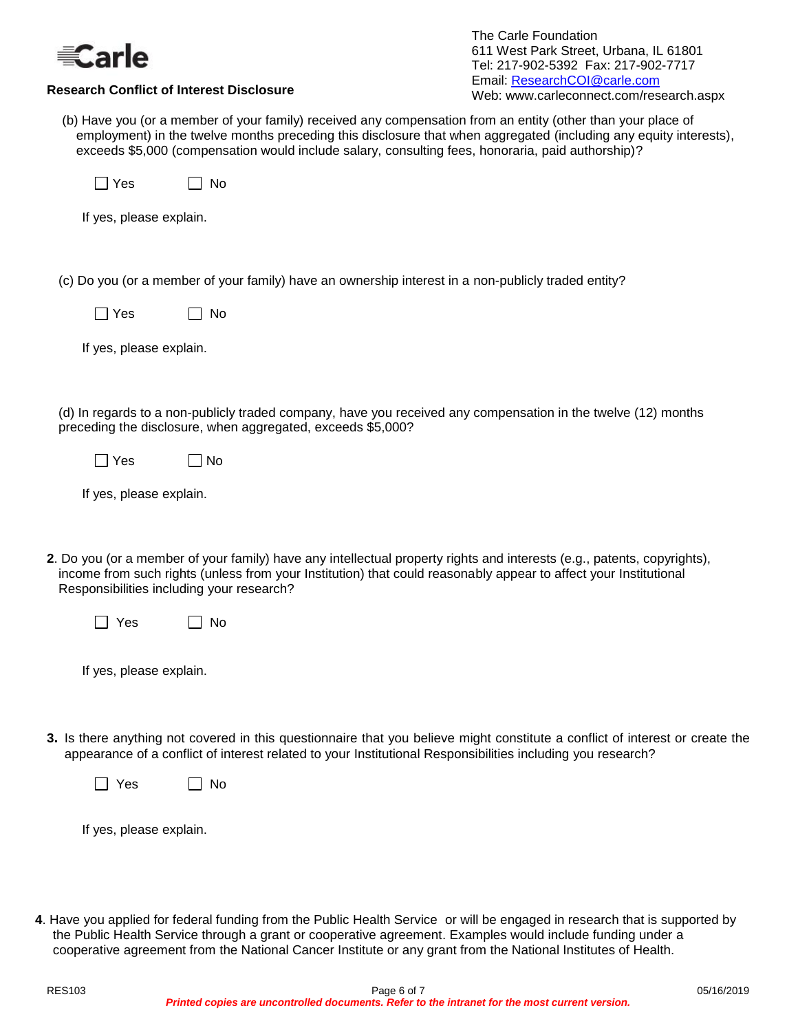

| The Carle Foundation                    |  |
|-----------------------------------------|--|
| 611 West Park Street, Urbana, IL 61801  |  |
| Tel: 217-902-5392 Fax: 217-902-7717     |  |
| Email: ResearchCOI@carle.com            |  |
| Web: www.carleconnect.com/research.aspx |  |
|                                         |  |

(b) Have you (or a member of your family) received any compensation from an entity (other than your place of employment) in the twelve months preceding this disclosure that when aggregated (including any equity interests), exceeds \$5,000 (compensation would include salary, consulting fees, honoraria, paid authorship)?

| Yes | <b>No</b> |
|-----|-----------|
|     |           |

**Research Conflict of Interest Disclosure**

If yes, please explain.

(c) Do you (or a member of your family) have an ownership interest in a non-publicly traded entity?

|  |  |  | If yes, please explain. |
|--|--|--|-------------------------|
|--|--|--|-------------------------|

(d) In regards to a non-publicly traded company, have you received any compensation in the twelve (12) months preceding the disclosure, when aggregated, exceeds \$5,000?

| Yes | $\square$ No |
|-----|--------------|
|-----|--------------|

If yes, please explain.

**2**. Do you (or a member of your family) have any intellectual property rights and interests (e.g., patents, copyrights), income from such rights (unless from your Institution) that could reasonably appear to affect your Institutional Responsibilities including your research?

| es. | No |
|-----|----|
|-----|----|

If yes, please explain.

**3.** Is there anything not covered in this questionnaire that you believe might constitute a conflict of interest or create the appearance of a conflict of interest related to your Institutional Responsibilities including you research?

If yes, please explain.

**4**. Have you applied for federal funding from the Public Health Service or will be engaged in research that is supported by the Public Health Service through a grant or cooperative agreement. Examples would include funding under a cooperative agreement from the National Cancer Institute or any grant from the National Institutes of Health.